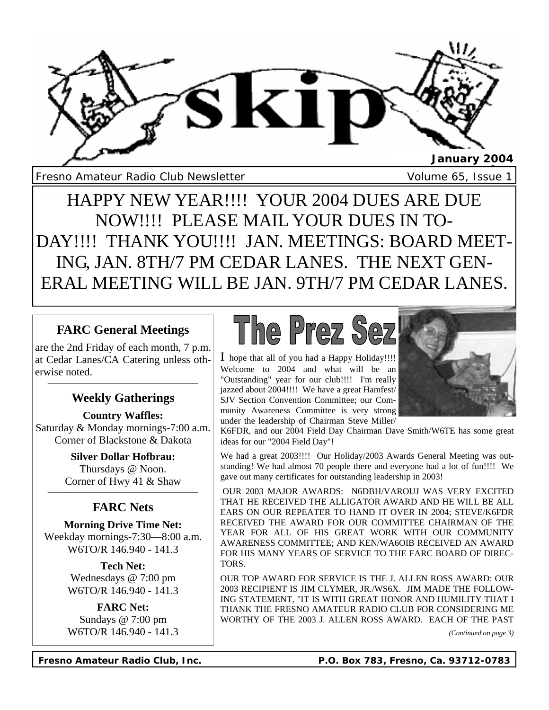

Fresno Amateur Radio Club Newsletter Volume 65, Issue 1

HAPPY NEW YEAR!!!! YOUR 2004 DUES ARE DUE NOW!!!! PLEASE MAIL YOUR DUES IN TO-DAY!!!! THANK YOU!!!! JAN. MEETINGS: BOARD MEET-ING, JAN. 8TH/7 PM CEDAR LANES. THE NEXT GEN-ERAL MEETING WILL BE JAN. 9TH/7 PM CEDAR LANES.

# **FARC General Meetings**

are the 2nd Friday of each month, 7 p.m. at Cedar Lanes/CA Catering unless otherwise noted.

## **\_\_\_\_\_\_\_\_\_\_\_\_\_\_\_\_\_\_\_\_\_\_\_\_\_\_\_\_\_\_\_\_\_\_\_\_\_\_\_\_\_\_\_\_\_\_\_\_\_\_\_\_\_\_\_\_ Weekly Gatherings**

**Country Waffles:** Saturday & Monday mornings-7:00 a.m. Corner of Blackstone & Dakota

> **Silver Dollar Hofbrau:** Thursdays @ Noon. Corner of Hwy 41 & Shaw

## **\_\_\_\_\_\_\_\_\_\_\_\_\_\_\_\_\_\_\_\_\_\_\_\_\_\_\_\_\_\_\_\_\_\_\_\_\_\_\_\_\_\_\_\_\_\_\_\_\_\_\_\_\_\_\_\_ FARC Nets**

**Morning Drive Time Net:** Weekday mornings-7:30—8:00 a.m. W6TO/R 146.940 - 141.3

> **Tech Net:** Wednesdays @ 7:00 pm W6TO/R 146.940 - 141.3

**FARC Net:** Sundays @ 7:00 pm W6TO/R 146.940 - 141.3



I hope that all of you had a Happy Holiday!!!! Welcome to 2004 and what will be an "Outstanding" year for our club!!!! I'm really jazzed about 2004!!!! We have a great Hamfest/ SJV Section Convention Committee; our Community Awareness Committee is very strong under the leadership of Chairman Steve Miller/



K6FDR, and our 2004 Field Day Chairman Dave Smith/W6TE has some great ideas for our "2004 Field Day"!

We had a great 2003!!!! Our Holiday/2003 Awards General Meeting was outstanding! We had almost 70 people there and everyone had a lot of fun!!!! We gave out many certificates for outstanding leadership in 2003!

 OUR 2003 MAJOR AWARDS: N6DBH/VAROUJ WAS VERY EXCITED THAT HE RECEIVED THE ALLIGATOR AWARD AND HE WILL BE ALL EARS ON OUR REPEATER TO HAND IT OVER IN 2004; STEVE/K6FDR RECEIVED THE AWARD FOR OUR COMMITTEE CHAIRMAN OF THE YEAR FOR ALL OF HIS GREAT WORK WITH OUR COMMUNITY AWARENESS COMMITTEE; AND KEN/WA6OIB RECEIVED AN AWARD FOR HIS MANY YEARS OF SERVICE TO THE FARC BOARD OF DIREC-TORS.

OUR TOP AWARD FOR SERVICE IS THE J. ALLEN ROSS AWARD: OUR 2003 RECIPIENT IS JIM CLYMER, JR./WS6X. JIM MADE THE FOLLOW-ING STATEMENT, "IT IS WITH GREAT HONOR AND HUMILITY THAT I THANK THE FRESNO AMATEUR RADIO CLUB FOR CONSIDERING ME WORTHY OF THE 2003 J. ALLEN ROSS AWARD. EACH OF THE PAST

*(Continued on page 3)*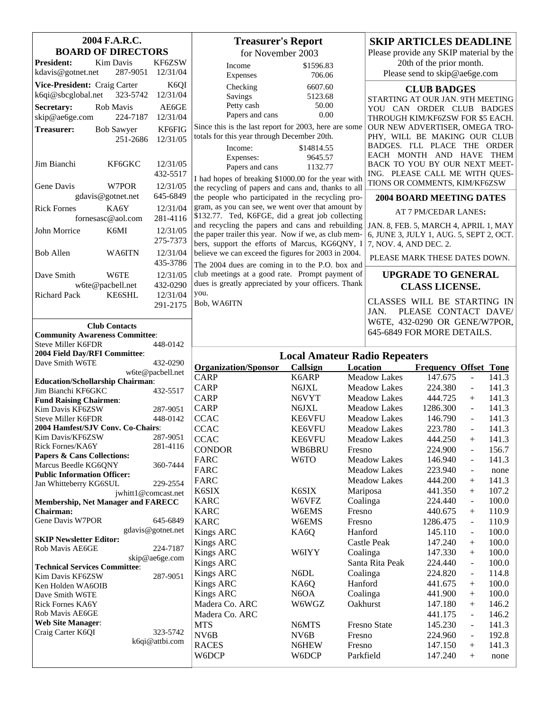| 2004 F.A.R.C.                                                   |                              | <b>Treasurer's Report</b>                                                                              |                                      |                        | <b>SKIP ARTICLES DEADLINE</b>                                   |                |  |
|-----------------------------------------------------------------|------------------------------|--------------------------------------------------------------------------------------------------------|--------------------------------------|------------------------|-----------------------------------------------------------------|----------------|--|
| <b>BOARD OF DIRECTORS</b>                                       |                              | for November 2003                                                                                      |                                      |                        | Please provide any SKIP material by the                         |                |  |
| Kim Davis<br><b>President:</b><br>kdavis@gotnet.net<br>287-9051 | KF6ZSW<br>12/31/04           | Income<br>Expenses                                                                                     | \$1596.83<br>706.06                  |                        | 20th of the prior month.<br>Please send to skip@ae6ge.com       |                |  |
| Vice-President: Craig Carter                                    | K6QI                         | Checking                                                                                               | 6607.60                              |                        |                                                                 |                |  |
| k6qi@sbcglobal.net<br>323-5742                                  | 12/31/04                     | Savings                                                                                                | 5123.68                              |                        | <b>CLUB BADGES</b>                                              |                |  |
| Secretary:<br>Rob Mavis                                         | AE6GE                        | Petty cash                                                                                             | 50.00                                |                        | STARTING AT OUR JAN. 9TH MEETING<br>YOU CAN ORDER CLUB BADGES   |                |  |
| skip@ae6ge.com<br>224-7187                                      | 12/31/04                     | Papers and cans                                                                                        | 0.00                                 |                        | THROUGH KIM/KF6ZSW FOR \$5 EACH.                                |                |  |
| <b>Treasurer:</b><br><b>Bob Sawyer</b>                          | KF6FIG                       | Since this is the last report for 2003, here are some                                                  |                                      |                        | OUR NEW ADVERTISER, OMEGA TRO-                                  |                |  |
| 251-2686                                                        | 12/31/05                     | totals for this year through December 20th.                                                            |                                      |                        | PHY, WILL BE MAKING OUR CLUB                                    |                |  |
|                                                                 |                              | Income:                                                                                                | \$14814.55                           |                        | BADGES. I'LL PLACE THE ORDER                                    |                |  |
|                                                                 | 12/31/05                     | Expenses:                                                                                              | 9645.57                              |                        | EACH MONTH AND HAVE THEM                                        |                |  |
| Jim Bianchi<br>KF6GKC                                           | 432-5517                     | Papers and cans                                                                                        | 1132.77                              |                        | BACK TO YOU BY OUR NEXT MEET-<br>ING. PLEASE CALL ME WITH QUES- |                |  |
| W7POR                                                           | 12/31/05                     | I had hopes of breaking \$1000.00 for the year with                                                    |                                      |                        | TIONS OR COMMENTS, KIM/KF6ZSW                                   |                |  |
| Gene Davis<br>gdavis@gotnet.net                                 | 645-6849                     | the recycling of papers and cans and, thanks to all                                                    |                                      |                        |                                                                 |                |  |
| KA6Y                                                            |                              | the people who participated in the recycling pro-<br>gram, as you can see, we went over that amount by |                                      |                        | <b>2004 BOARD MEETING DATES</b>                                 |                |  |
| <b>Rick Fornes</b><br>fornesasc@aol.com                         | 12/31/04<br>281-4116         | \$132.77. Ted, K6FGE, did a great job collecting                                                       |                                      |                        | AT 7 PM/CEDAR LANES:                                            |                |  |
|                                                                 |                              | and recycling the papers and cans and rebuilding                                                       |                                      |                        | JAN. 8, FEB. 5, MARCH 4, APRIL 1, MAY                           |                |  |
| John Morrice<br>K6MI                                            | 12/31/05<br>275-7373         | the paper trailer this year. Now if we, as club mem-                                                   |                                      |                        | 6, JUNE 3, JULY 1, AUG. 5, SEPT 2, OCT.                         |                |  |
|                                                                 |                              | bers, support the efforts of Marcus, KG6QNY, I                                                         |                                      |                        | 7, NOV. 4, AND DEC. 2.                                          |                |  |
| <b>Bob Allen</b><br>WA6ITN                                      | 12/31/04<br>435-3786         | believe we can exceed the figures for 2003 in 2004.                                                    |                                      |                        | PLEASE MARK THESE DATES DOWN.                                   |                |  |
| W6TE                                                            |                              | The 2004 dues are coming in to the P.O. box and<br>club meetings at a good rate. Prompt payment of     |                                      |                        |                                                                 |                |  |
| Dave Smith<br>w6te@pacbell.net                                  | 12/31/05<br>432-0290         | dues is greatly appreciated by your officers. Thank                                                    |                                      |                        | <b>UPGRADE TO GENERAL</b><br><b>CLASS LICENSE.</b>              |                |  |
| <b>Richard Pack</b><br>KE6SHL                                   | 12/31/04                     | you.                                                                                                   |                                      |                        |                                                                 |                |  |
|                                                                 | 291-2175                     | Bob, WA6ITN                                                                                            |                                      |                        | CLASSES WILL BE STARTING IN                                     |                |  |
|                                                                 |                              |                                                                                                        |                                      | JAN.                   | PLEASE CONTACT DAVE/                                            |                |  |
| <b>Club Contacts</b>                                            |                              |                                                                                                        |                                      |                        | W6TE, 432-0290 OR GENE/W7POR,                                   |                |  |
| <b>Community Awareness Committee:</b>                           |                              |                                                                                                        |                                      |                        | 645-6849 FOR MORE DETAILS.                                      |                |  |
| <b>Steve Miller K6FDR</b>                                       | 448-0142                     |                                                                                                        |                                      |                        |                                                                 |                |  |
|                                                                 |                              |                                                                                                        |                                      |                        |                                                                 |                |  |
| 2004 Field Day/RFI Committee:                                   |                              |                                                                                                        | <b>Local Amateur Radio Repeaters</b> |                        |                                                                 |                |  |
| Dave Smith W6TE                                                 | 432-0290<br>w6te@pacbell.net | <b>Organization/Sponsor</b>                                                                            | Callsign                             | Location               | <b>Frequency Offset Tone</b>                                    |                |  |
| <b>Education/Schollarship Chairman:</b>                         |                              | <b>CARP</b>                                                                                            | K6ARP                                | Meadow Lakes           | 147.675<br>$\mathbf{r}$                                         | 141.3          |  |
| Jim Bianchi KF6GKC                                              | 432-5517                     | <b>CARP</b>                                                                                            | N6JXL                                | <b>Meadow Lakes</b>    | 224.380<br>$\blacksquare$                                       | 141.3          |  |
| <b>Fund Raising Chairmen:</b>                                   |                              | <b>CARP</b>                                                                                            | N6VYT                                | <b>Meadow Lakes</b>    | 444.725<br>$+$                                                  | 141.3          |  |
| Kim Davis KF6ZSW                                                | 287-9051                     | <b>CARP</b>                                                                                            | N6JXL                                | <b>Meadow Lakes</b>    | 1286.300<br>$\blacksquare$                                      | 141.3          |  |
| <b>Steve Miller K6FDR</b><br>2004 Hamfest/SJV Conv. Co-Chairs:  | 448-0142                     | <b>CCAC</b>                                                                                            | <b>KE6VFU</b>                        | <b>Meadow Lakes</b>    | 146.790<br>$\overline{a}$                                       | 141.3          |  |
| Kim Davis/KF6ZSW                                                | 287-9051                     | <b>CCAC</b>                                                                                            | <b>KE6VFU</b><br><b>KE6VFU</b>       | <b>Meadow Lakes</b>    | 223.780                                                         | 141.3          |  |
| Rick Fornes/KA6Y                                                | 281-4116                     | <b>CCAC</b><br><b>CONDOR</b>                                                                           | WB6BRU                               | Meadow Lakes<br>Fresno | 444.250<br>224.900<br>$\blacksquare$                            | 141.3<br>156.7 |  |
| Papers & Cans Collections:                                      |                              | FARC                                                                                                   | W6TO                                 | <b>Meadow Lakes</b>    | 146.940<br>$\overline{\phantom{a}}$                             | 141.3          |  |
| Marcus Beedle KG6QNY                                            | 360-7444                     | <b>FARC</b>                                                                                            |                                      | <b>Meadow Lakes</b>    | 223.940<br>$\overline{\phantom{a}}$                             | none           |  |
| <b>Public Information Officer:</b>                              | 229-2554                     | <b>FARC</b>                                                                                            |                                      | <b>Meadow Lakes</b>    | 444.200<br>$\hspace{0.1mm} +$                                   | 141.3          |  |
| Jan Whitteberry KG6SUL                                          | jwhitt1@comcast.net          | K6SIX                                                                                                  | K6SIX                                | Mariposa               | 441.350<br>$^{+}$                                               | 107.2          |  |
| Membership, Net Manager and FARECC                              |                              | <b>KARC</b>                                                                                            | W6VFZ                                | Coalinga               | 224.440<br>$\overline{\phantom{a}}$                             | 100.0          |  |
| Chairman:                                                       |                              | <b>KARC</b>                                                                                            | W6EMS                                | Fresno                 | 440.675                                                         | 110.9          |  |
| Gene Davis W7POR                                                | 645-6849                     | <b>KARC</b>                                                                                            | W6EMS                                | Fresno                 | 1286.475<br>$\overline{\phantom{a}}$                            | 110.9          |  |
|                                                                 | gdavis@gotnet.net            | Kings ARC                                                                                              | KA6Q                                 | Hanford                | 145.110<br>$\blacksquare$                                       | 100.0          |  |
| <b>SKIP Newsletter Editor:</b><br>Rob Mavis AE6GE               | 224-7187                     | <b>Kings ARC</b>                                                                                       |                                      | Castle Peak            | 147.240<br>$^{+}$                                               | 100.0          |  |
|                                                                 | skip@ae6ge.com               | <b>Kings ARC</b>                                                                                       | W6IYY                                | Coalinga               | 147.330<br>$^{+}$<br>$\blacksquare$                             | 100.0          |  |
| <b>Technical Services Committee:</b>                            |                              | <b>Kings ARC</b>                                                                                       |                                      | Santa Rita Peak        | 224.440<br>$\overline{\phantom{a}}$                             | 100.0          |  |
| Kim Davis KF6ZSW                                                | 287-9051                     | Kings ARC                                                                                              | N <sub>6</sub> DL                    | Coalinga<br>Hanford    | 224.820<br>$^{+}$                                               | 114.8          |  |
| Ken Holden WA6OIB<br>Dave Smith W6TE                            |                              | Kings ARC<br><b>Kings ARC</b>                                                                          | KA6Q<br>N <sub>6</sub> OA            | Coalinga               | 441.675<br>441.900<br>$^{+}$                                    | 100.0<br>100.0 |  |
| Rick Fornes KA6Y                                                |                              | Madera Co. ARC                                                                                         | W6WGZ                                | Oakhurst               | 147.180<br>$^{+}$                                               | 146.2          |  |
| Rob Mavis AE6GE                                                 |                              | Madera Co. ARC                                                                                         |                                      |                        | 441.175<br>$\overline{\phantom{a}}$                             | 146.2          |  |
| <b>Web Site Manager:</b>                                        |                              | <b>MTS</b>                                                                                             | N6MTS                                | Fresno State           | 145.230<br>$\overline{\phantom{a}}$                             | 141.3          |  |
| Craig Carter K6QI                                               | 323-5742                     | NV <sub>6</sub> B                                                                                      | NV <sub>6</sub> B                    | Fresno                 | 224.960<br>$\blacksquare$                                       | 192.8          |  |
|                                                                 | k6qi@attbi.com               | <b>RACES</b><br>W6DCP                                                                                  | N6HEW<br>W6DCP                       | Fresno<br>Parkfield    | 147.150<br>$\boldsymbol{+}$<br>147.240<br>$\boldsymbol{+}$      | 141.3<br>none  |  |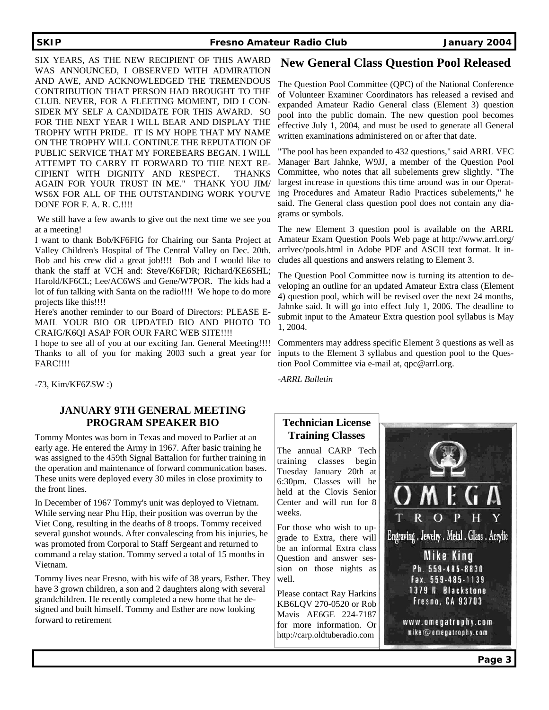### **SKIP Fresno Amateur Radio Club January 2004**

SIX YEARS, AS THE NEW RECIPIENT OF THIS AWARD WAS ANNOUNCED, I OBSERVED WITH ADMIRATION AND AWE, AND ACKNOWLEDGED THE TREMENDOUS CONTRIBUTION THAT PERSON HAD BROUGHT TO THE CLUB. NEVER, FOR A FLEETING MOMENT, DID I CON-SIDER MY SELF A CANDIDATE FOR THIS AWARD. SO FOR THE NEXT YEAR I WILL BEAR AND DISPLAY THE TROPHY WITH PRIDE. IT IS MY HOPE THAT MY NAME ON THE TROPHY WILL CONTINUE THE REPUTATION OF PUBLIC SERVICE THAT MY FOREBEARS BEGAN. I WILL ATTEMPT TO CARRY IT FORWARD TO THE NEXT RE-CIPIENT WITH DIGNITY AND RESPECT. THANKS AGAIN FOR YOUR TRUST IN ME." THANK YOU JIM/ WS6X FOR ALL OF THE OUTSTANDING WORK YOU'VE DONE FOR F. A. R. C.!!!!

 We still have a few awards to give out the next time we see you at a meeting!

I want to thank Bob/KF6FIG for Chairing our Santa Project at Valley Children's Hospital of The Central Valley on Dec. 20th. Bob and his crew did a great job!!!! Bob and I would like to thank the staff at VCH and: Steve/K6FDR; Richard/KE6SHL; Harold/KF6CL; Lee/AC6WS and Gene/W7POR. The kids had a lot of fun talking with Santa on the radio!!!! We hope to do more projects like this!!!!

Here's another reminder to our Board of Directors: PLEASE E-MAIL YOUR BIO OR UPDATED BIO AND PHOTO TO CRAIG/K6QI ASAP FOR OUR FARC WEB SITE!!!!

I hope to see all of you at our exciting Jan. General Meeting!!!! Thanks to all of you for making 2003 such a great year for FARC!!!!

-73, Kim/KF6ZSW :)

## **JANUARY 9TH GENERAL MEETING PROGRAM SPEAKER BIO**

Tommy Montes was born in Texas and moved to Parlier at an early age. He entered the Army in 1967. After basic training he was assigned to the 459th Signal Battalion for further training in the operation and maintenance of forward communication bases. These units were deployed every 30 miles in close proximity to the front lines.

In December of 1967 Tommy's unit was deployed to Vietnam. While serving near Phu Hip, their position was overrun by the Viet Cong, resulting in the deaths of 8 troops. Tommy received several gunshot wounds. After convalescing from his injuries, he was promoted from Corporal to Staff Sergeant and returned to command a relay station. Tommy served a total of 15 months in Vietnam.

Tommy lives near Fresno, with his wife of 38 years, Esther. They have 3 grown children, a son and 2 daughters along with several grandchildren. He recently completed a new home that he designed and built himself. Tommy and Esther are now looking forward to retirement

## **New General Class Question Pool Released**

The Question Pool Committee (QPC) of the National Conference of Volunteer Examiner Coordinators has released a revised and expanded Amateur Radio General class (Element 3) question pool into the public domain. The new question pool becomes effective July 1, 2004, and must be used to generate all General written examinations administered on or after that date.

"The pool has been expanded to 432 questions," said ARRL VEC Manager Bart Jahnke, W9JJ, a member of the Question Pool Committee, who notes that all subelements grew slightly. "The largest increase in questions this time around was in our Operating Procedures and Amateur Radio Practices subelements," he said. The General class question pool does not contain any diagrams or symbols.

The new Element 3 question pool is available on the ARRL Amateur Exam Question Pools Web page at http://www.arrl.org/ arrlvec/pools.html in Adobe PDF and ASCII text format. It includes all questions and answers relating to Element 3.

The Question Pool Committee now is turning its attention to developing an outline for an updated Amateur Extra class (Element 4) question pool, which will be revised over the next 24 months, Jahnke said. It will go into effect July 1, 2006. The deadline to submit input to the Amateur Extra question pool syllabus is May 1, 2004.

Commenters may address specific Element 3 questions as well as inputs to the Element 3 syllabus and question pool to the Question Pool Committee via e-mail at, qpc@arrl.org.

*-ARRL Bulletin* 

## **Technician License Training Classes**

The annual CARP Tech training classes begin Tuesday January 20th at 6:30pm. Classes will be held at the Clovis Senior Center and will run for 8 weeks.

For those who wish to upgrade to Extra, there will be an informal Extra class Question and answer session on those nights as well.

Please contact Ray Harkins KB6LQV 270-0520 or Rob Mavis AE6GE 224-7187 for more information. Or http://carp.oldtuberadio.com

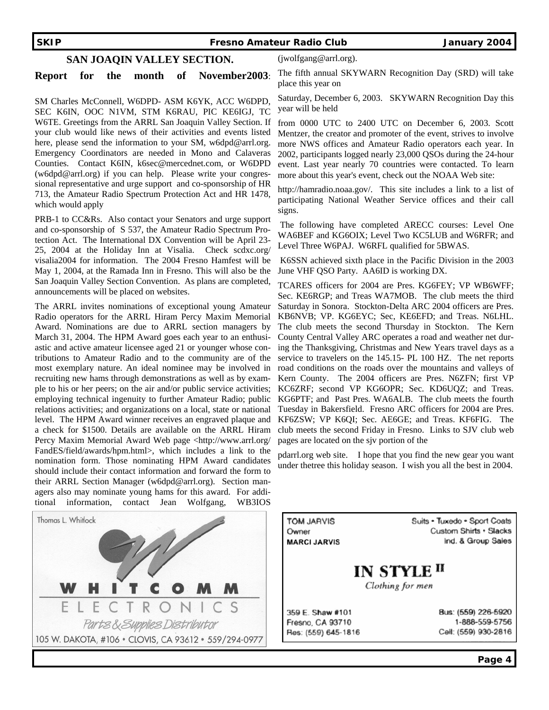#### **SKIP Fresno Amateur Radio Club January 2004**

#### **SAN JOAQIN VALLEY SECTION.**

#### **Report for the month of November2003**:

SM Charles McConnell, W6DPD- ASM K6YK, ACC W6DPD, SEC K6IN, OOC N1VM, STM K6RAU, PIC KE6IGJ, TC W6TE. Greetings from the ARRL San Joaquin Valley Section. If your club would like news of their activities and events listed here, please send the information to your SM, w6dpd@arrl.org. Emergency Coordinators are needed in Mono and Calaveras Counties. Contact K6IN, k6sec@mercednet.com, or W6DPD (w6dpd@arrl.org) if you can help. Please write your congressional representative and urge support and co-sponsorship of HR 713, the Amateur Radio Spectrum Protection Act and HR 1478, which would apply

PRB-1 to CC&Rs. Also contact your Senators and urge support and co-sponsorship of S 537, the Amateur Radio Spectrum Protection Act. The International DX Convention will be April 23- 25, 2004 at the Holiday Inn at Visalia. Check scdxc.org/ visalia2004 for information. The 2004 Fresno Hamfest will be May 1, 2004, at the Ramada Inn in Fresno. This will also be the San Joaquin Valley Section Convention. As plans are completed, announcements will be placed on websites.

The ARRL invites nominations of exceptional young Amateur Radio operators for the ARRL Hiram Percy Maxim Memorial Award. Nominations are due to ARRL section managers by March 31, 2004. The HPM Award goes each year to an enthusiastic and active amateur licensee aged 21 or younger whose contributions to Amateur Radio and to the community are of the most exemplary nature. An ideal nominee may be involved in recruiting new hams through demonstrations as well as by example to his or her peers; on the air and/or public service activities; employing technical ingenuity to further Amateur Radio; public relations activities; and organizations on a local, state or national level. The HPM Award winner receives an engraved plaque and a check for \$1500. Details are available on the ARRL Hiram Percy Maxim Memorial Award Web page <http://www.arrl.org/ FandES/field/awards/hpm.html>, which includes a link to the nomination form. Those nominating HPM Award candidates should include their contact information and forward the form to their ARRL Section Manager (w6dpd@arrl.org). Section managers also may nominate young hams for this award. For additional information, contact Jean Wolfgang, WB3IOS



(jwolfgang@arrl.org).

The fifth annual SKYWARN Recognition Day (SRD) will take place this year on

Saturday, December 6, 2003. SKYWARN Recognition Day this year will be held

from 0000 UTC to 2400 UTC on December 6, 2003. Scott Mentzer, the creator and promoter of the event, strives to involve more NWS offices and Amateur Radio operators each year. In 2002, participants logged nearly 23,000 QSOs during the 24-hour event. Last year nearly 70 countries were contacted. To learn more about this year's event, check out the NOAA Web site:

http://hamradio.noaa.gov/. This site includes a link to a list of participating National Weather Service offices and their call signs.

 The following have completed ARECC courses: Level One WA6BEF and KG6OIX; Level Two KC5LUB and W6RFR; and Level Three W6PAJ. W6RFL qualified for 5BWAS.

 K6SSN achieved sixth place in the Pacific Division in the 2003 June VHF QSO Party. AA6ID is working DX.

TCARES officers for 2004 are Pres. KG6FEY; VP WB6WFF; Sec. KE6RGP; and Treas WA7MOB. The club meets the third Saturday in Sonora. Stockton-Delta ARC 2004 officers are Pres. KB6NVB; VP. KG6EYC; Sec, KE6EFD; and Treas. N6LHL. The club meets the second Thursday in Stockton. The Kern County Central Valley ARC operates a road and weather net during the Thanksgiving, Christmas and New Years travel days as a service to travelers on the 145.15- PL 100 HZ. The net reports road conditions on the roads over the mountains and valleys of Kern County. The 2004 officers are Pres. N6ZFN; first VP KC6ZRF; second VP KG6OPR; Sec. KD6UQZ; and Treas. KG6PTF; and Past Pres. WA6ALB. The club meets the fourth Tuesday in Bakersfield. Fresno ARC officers for 2004 are Pres. KF6ZSW; VP K6QI; Sec. AE6GE; and Treas. KF6FIG. The club meets the second Friday in Fresno. Links to SJV club web pages are located on the sjv portion of the

pdarrl.org web site. I hope that you find the new gear you want under thetree this holiday season. I wish you all the best in 2004.

**TOM JARVIS** Owner **MARCI JARVIS**  Suits · Tuxedo · Sport Coats **Custom Shirts · Slacks** Ind. & Group Sales

**IN STYLE II** 

Clothing for men

359 E. Shaw #101 Fresno, CA 93710 Res: (559) 645-1816 Bus: (559) 226-5920 1-888-559-5756 Cell: (559) 930-2816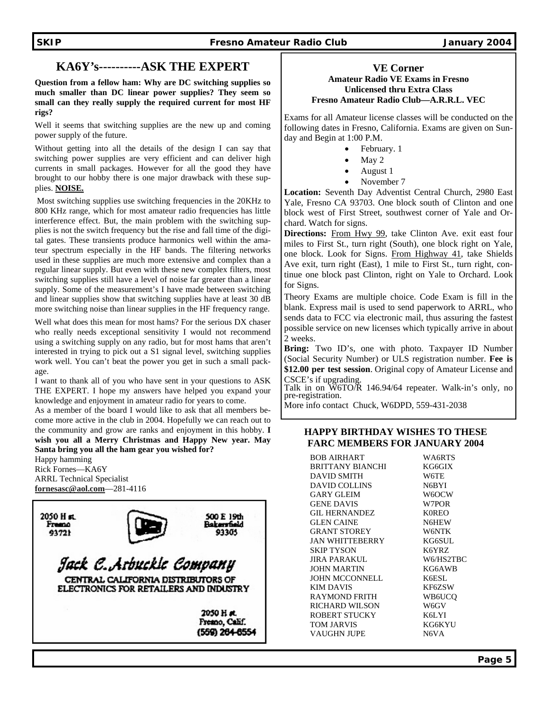### **SKIP Fresno Amateur Radio Club** January 2004 **January 2004**

## **KA6Y's----------ASK THE EXPERT**

**Question from a fellow ham: Why are DC switching supplies so much smaller than DC linear power supplies? They seem so small can they really supply the required current for most HF rigs?** 

Well it seems that switching supplies are the new up and coming power supply of the future.

Without getting into all the details of the design I can say that switching power supplies are very efficient and can deliver high currents in small packages. However for all the good they have brought to our hobby there is one major drawback with these supplies. **NOISE.**

 Most switching supplies use switching frequencies in the 20KHz to 800 KHz range, which for most amateur radio frequencies has little interference effect. But, the main problem with the switching supplies is not the switch frequency but the rise and fall time of the digital gates. These transients produce harmonics well within the amateur spectrum especially in the HF bands. The filtering networks used in these supplies are much more extensive and complex than a regular linear supply. But even with these new complex filters, most switching supplies still have a level of noise far greater than a linear supply. Some of the measurement's I have made between switching and linear supplies show that switching supplies have at least 30 dB more switching noise than linear supplies in the HF frequency range.

Well what does this mean for most hams? For the serious DX chaser who really needs exceptional sensitivity I would not recommend using a switching supply on any radio, but for most hams that aren't interested in trying to pick out a S1 signal level, switching supplies work well. You can't beat the power you get in such a small package.

I want to thank all of you who have sent in your questions to ASK THE EXPERT. I hope my answers have helped you expand your knowledge and enjoyment in amateur radio for years to come.

As a member of the board I would like to ask that all members become more active in the club in 2004. Hopefully we can reach out to the community and grow are ranks and enjoyment in this hobby. **I wish you all a Merry Christmas and Happy New year. May Santa bring you all the ham gear you wished for?** 

Happy hamming Rick Fornes—KA6Y ARRL Technical Specialist **fornesasc@aol.com**—281-4116



#### **VE Corner Amateur Radio VE Exams in Fresno Unlicensed thru Extra Class Fresno Amateur Radio Club—A.R.R.L. VEC**

Exams for all Amateur license classes will be conducted on the following dates in Fresno, California. Exams are given on Sunday and Begin at 1:00 P.M.

- February. 1
- May 2
- August 1
- November 7

**Location:** Seventh Day Adventist Central Church, 2980 East Yale, Fresno CA 93703. One block south of Clinton and one block west of First Street, southwest corner of Yale and Orchard. Watch for signs.

**Directions:** From Hwy 99, take Clinton Ave. exit east four miles to First St., turn right (South), one block right on Yale, one block. Look for Signs. From Highway 41, take Shields Ave exit, turn right (East), 1 mile to First St., turn right, continue one block past Clinton, right on Yale to Orchard. Look for Signs.

Theory Exams are multiple choice. Code Exam is fill in the blank. Express mail is used to send paperwork to ARRL, who sends data to FCC via electronic mail, thus assuring the fastest possible service on new licenses which typically arrive in about 2 weeks.

**Bring:** Two ID's, one with photo. Taxpayer ID Number (Social Security Number) or ULS registration number. **Fee is \$12.00 per test session**. Original copy of Amateur License and CSCE's if upgrading.

Talk in on W6TO/R 146.94/64 repeater. Walk-in's only, no pre-registration.

More info contact Chuck, W6DPD, 559-431-2038

### **HAPPY BIRTHDAY WISHES TO THESE FARC MEMBERS FOR JANUARY 2004**

BOB AIRHART WA6RTS BRITTANY BIANCHI KG6GIX DAVID SMITH W6TE DAVID COLLINS N6BYI GARY GLEIM W6OCW GENE DAVIS W7POR GIL HERNANDEZ K0REO GLEN CAINE N6HEW GRANT STOREY W6NTK JAN WHITTEBERRY KG6SUL SKIP TYSON K6YRZ JIRA PARAKUL W6/HS2TBC JOHN MARTIN KG6AWB JOHN MCCONNELL K6ESL KIM DAVIS KF6ZSW RAYMOND FRITH WB6UCQ RICHARD WILSON W6GV ROBERT STUCKY K6LYI TOM JARVIS KG6KYU VAUGHN JUPE N6VA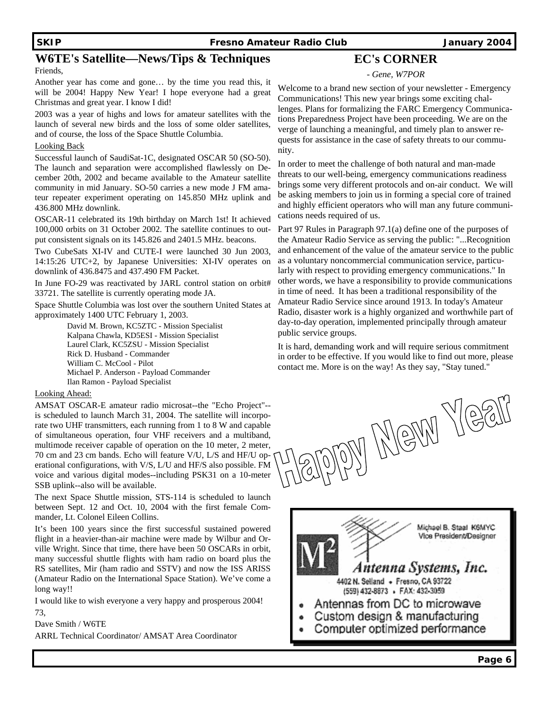#### **SKIP Fresno Amateur Radio Club January 2004**

## **W6TE's Satellite—News/Tips & Techniques**

#### Friends,

Another year has come and gone… by the time you read this, it will be 2004! Happy New Year! I hope everyone had a great Christmas and great year. I know I did!

2003 was a year of highs and lows for amateur satellites with the launch of several new birds and the loss of some older satellites, and of course, the loss of the Space Shuttle Columbia.

#### Looking Back

Successful launch of SaudiSat-1C, designated OSCAR 50 (SO-50). The launch and separation were accomplished flawlessly on December 20th, 2002 and became available to the Amateur satellite community in mid January. SO-50 carries a new mode J FM amateur repeater experiment operating on 145.850 MHz uplink and 436.800 MHz downlink.

OSCAR-11 celebrated its 19th birthday on March 1st! It achieved 100,000 orbits on 31 October 2002. The satellite continues to output consistent signals on its 145.826 and 2401.5 MHz. beacons.

Two CubeSats XI-IV and CUTE-I were launched 30 Jun 2003, 14:15:26 UTC+2, by Japanese Universities: XI-IV operates on downlink of 436.8475 and 437.490 FM Packet.

In June FO-29 was reactivated by JARL control station on orbit# 33721. The satellite is currently operating mode JA.

Space Shuttle Columbia was lost over the southern United States at approximately 1400 UTC February 1, 2003.

> David M. Brown, KC5ZTC - Mission Specialist Kalpana Chawla, KD5ESI - Mission Specialist Laurel Clark, KC5ZSU - Mission Specialist Rick D. Husband - Commander William C. McCool - Pilot Michael P. Anderson - Payload Commander Ilan Ramon - Payload Specialist

#### Looking Ahead:

AMSAT OSCAR-E amateur radio microsat--the "Echo Project"- is scheduled to launch March 31, 2004. The satellite will incorporate two UHF transmitters, each running from 1 to 8 W and capable of simultaneous operation, four VHF receivers and a multiband, multimode receiver capable of operation on the 10 meter, 2 meter, 70 cm and 23 cm bands. Echo will feature V/U, L/S and HF/U operational configurations, with V/S, L/U and HF/S also possible. FM voice and various digital modes--including PSK31 on a 10-meter SSB uplink--also will be available.

The next Space Shuttle mission, STS-114 is scheduled to launch between Sept. 12 and Oct. 10, 2004 with the first female Commander, Lt. Colonel Eileen Collins.

It's been 100 years since the first successful sustained powered flight in a heavier-than-air machine were made by Wilbur and Orville Wright. Since that time, there have been 50 OSCARs in orbit, many successful shuttle flights with ham radio on board plus the RS satellites, Mir (ham radio and SSTV) and now the ISS ARISS (Amateur Radio on the International Space Station). We've come a long way!!

I would like to wish everyone a very happy and prosperous 2004! 73,

Dave Smith / W6TE

ARRL Technical Coordinator/ AMSAT Area Coordinator

## **EC's CORNER**

*- Gene, W7POR*

Welcome to a brand new section of your newsletter - Emergency Communications! This new year brings some exciting challenges. Plans for formalizing the FARC Emergency Communications Preparedness Project have been proceeding. We are on the verge of launching a meaningful, and timely plan to answer requests for assistance in the case of safety threats to our community.

In order to meet the challenge of both natural and man-made threats to our well-being, emergency communications readiness brings some very different protocols and on-air conduct. We will be asking members to join us in forming a special core of trained and highly efficient operators who will man any future communications needs required of us.

Part 97 Rules in Paragraph 97.1(a) define one of the purposes of the Amateur Radio Service as serving the public: "...Recognition and enhancement of the value of the amateur service to the public as a voluntary noncommercial communication service, particularly with respect to providing emergency communications." In other words, we have a responsibility to provide communications in time of need. It has been a traditional responsibility of the Amateur Radio Service since around 1913. In today's Amateur Radio, disaster work is a highly organized and worthwhile part of day-to-day operation, implemented principally through amateur public service groups.

It is hard, demanding work and will require serious commitment in order to be effective. If you would like to find out more, please contact me. More is on the way! As they say, "Stay tuned."

y Meth Yea

Michael B. Staal K6MYC Vice President/Designer Antenna Systems, Inc. 4402 N. Selland . Fresno, CA 93722 (559) 432-8873 · FAX: 432-3059 Antennas from DC to microwave Custom design & manufacturing Computer optimized performance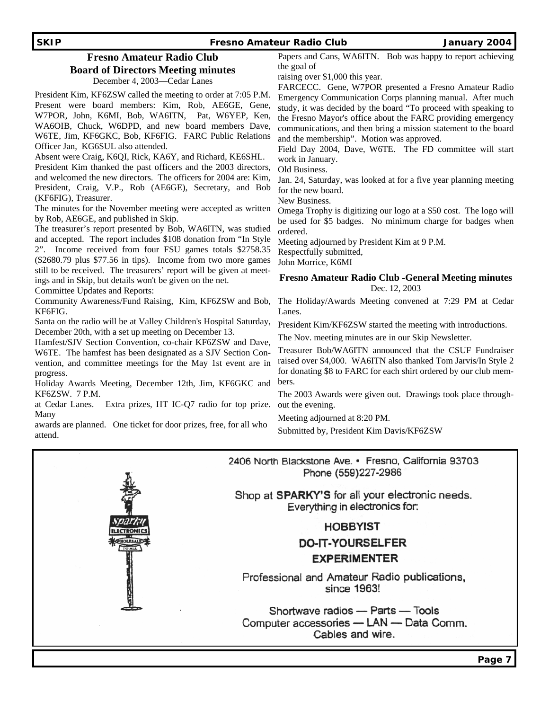#### **SKIP Fresno Amateur Radio Club January 2004**  Papers and Cans, WA6ITN. Bob was happy to report achieving **Fresno Amateur Radio Club**  the goal of **Board of Directors Meeting minutes** raising over \$1,000 this year. December 4, 2003—Cedar Lanes FARCECC. Gene, W7POR presented a Fresno Amateur Radio President Kim, KF6ZSW called the meeting to order at 7:05 P.M. Emergency Communication Corps planning manual. After much Present were board members: Kim, Rob, AE6GE, Gene, study, it was decided by the board "To proceed with speaking to W7POR, John, K6MI, Bob, WA6ITN, Pat, W6YEP, Ken, the Fresno Mayor's office about the FARC providing emergency WA6OIB, Chuck, W6DPD, and new board members Dave, communications, and then bring a mission statement to the board W6TE, Jim, KF6GKC, Bob, KF6FIG. FARC Public Relations and the membership". Motion was approved. Officer Jan, KG6SUL also attended. Field Day 2004, Dave, W6TE. The FD committee will start Absent were Craig, K6QI, Rick, KA6Y, and Richard, KE6SHL. work in January. President Kim thanked the past officers and the 2003 directors, Old Business. and welcomed the new directors. The officers for 2004 are: Kim, Jan. 24, Saturday, was looked at for a five year planning meeting President, Craig, V.P., Rob (AE6GE), Secretary, and Bob for the new board. (KF6FIG), Treasurer. New Business. The minutes for the November meeting were accepted as written Omega Trophy is digitizing our logo at a \$50 cost. The logo will by Rob, AE6GE, and published in Skip. be used for \$5 badges. No minimum charge for badges when The treasurer's report presented by Bob, WA6ITN, was studied ordered. and accepted. The report includes \$108 donation from "In Style Meeting adjourned by President Kim at 9 P.M. 2". Income received from four FSU games totals \$2758.35 Respectfully submitted, (\$2680.79 plus \$77.56 in tips). Income from two more games John Morrice, K6MI still to be received. The treasurers' report will be given at meet-**Fresno Amateur Radio Club -General Meeting minutes**  ings and in Skip, but details won't be given on the net. Dec. 12, 2003 Committee Updates and Reports: Community Awareness/Fund Raising, Kim, KF6ZSW and Bob, The Holiday/Awards Meeting convened at 7:29 PM at Cedar KF6FIG. Lanes. Santa on the radio will be at Valley Children's Hospital Saturday, President Kim/KF6ZSW started the meeting with introductions. December 20th, with a set up meeting on December 13. The Nov. meeting minutes are in our Skip Newsletter. Hamfest/SJV Section Convention, co-chair KF6ZSW and Dave, Treasurer Bob/WA6ITN announced that the CSUF Fundraiser W6TE. The hamfest has been designated as a SJV Section Conraised over \$4,000. WA6ITN also thanked Tom Jarvis/In Style 2 vention, and committee meetings for the May 1st event are in for donating \$8 to FARC for each shirt ordered by our club memprogress. Holiday Awards Meeting, December 12th, Jim, KF6GKC and bers. KF6ZSW. 7 P.M. The 2003 Awards were given out. Drawings took place throughat Cedar Lanes. Extra prizes, HT IC-Q7 radio for top prize. out the evening. Many Meeting adjourned at 8:20 PM. awards are planned. One ticket for door prizes, free, for all who Submitted by, President Kim Davis/KF6ZSW attend. 2406 North Blackstone Ave. • Fresno, California 93703 Phone (559)227-2986

Shop at **SPARKY'S** for all your electronic needs. Everything in electronics for.

## **HOBBYIST**

## **DO-IT-YOURSELFER EXPERIMENTER**

Professional and Amateur Radio publications, since 1963!

Shortwave radios - Parts - Tools Computer accessories - LAN - Data Comm. Cables and wire.